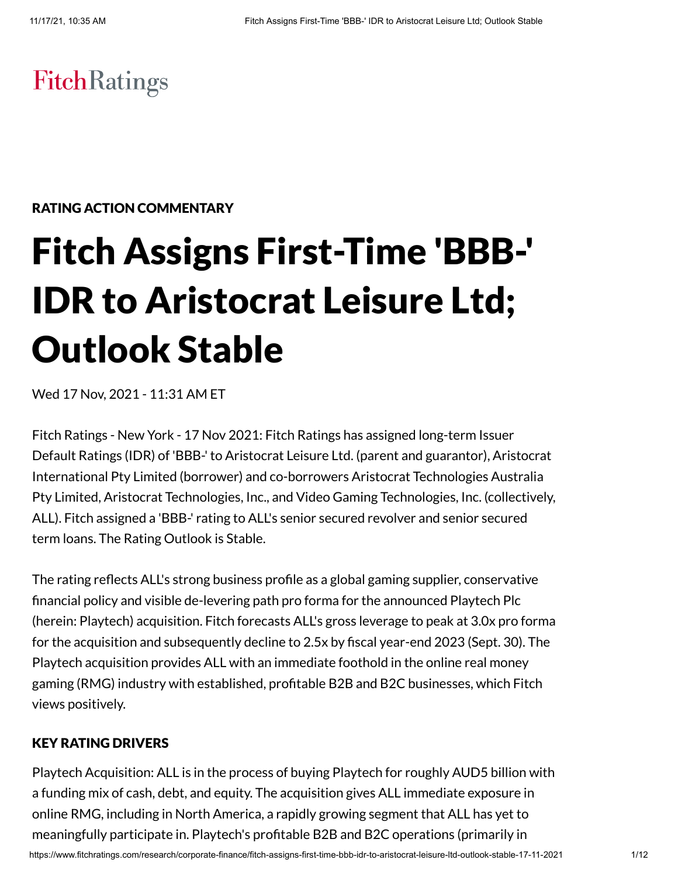# **FitchRatings**

# RATING ACTION COMMENTARY

# Fitch Assigns First-Time 'BBB-' IDR to Aristocrat Leisure Ltd; Outlook Stable

Wed 17 Nov, 2021 - 11:31 AM ET

Fitch Ratings - New York - 17 Nov 2021: Fitch Ratings has assigned long-term Issuer Default Ratings (IDR) of 'BBB-' to Aristocrat Leisure Ltd. (parent and guarantor), Aristocrat International Pty Limited (borrower) and co-borrowers Aristocrat Technologies Australia Pty Limited, Aristocrat Technologies, Inc., and Video Gaming Technologies, Inc. (collectively, ALL). Fitch assigned a 'BBB-' rating to ALL's senior secured revolver and senior secured term loans. The Rating Outlook is Stable.

The rating reflects ALL's strong business profile as a global gaming supplier, conservative financial policy and visible de-levering path pro forma for the announced Playtech Plc (herein: Playtech) acquisition. Fitch forecasts ALL's gross leverage to peak at 3.0x pro forma for the acquisition and subsequently decline to 2.5x by fiscal year-end 2023 (Sept. 30). The Playtech acquisition provides ALL with an immediate foothold in the online real money gaming (RMG) industry with established, profitable B2B and B2C businesses, which Fitch views positively.

# KEY RATING DRIVERS

Playtech Acquisition: ALL is in the process of buying Playtech for roughly AUD5 billion with a funding mix of cash, debt, and equity. The acquisition gives ALL immediate exposure in online RMG, including in North America, a rapidly growing segment that ALL has yet to meaningfully participate in. Playtech's profitable B2B and B2C operations (primarily in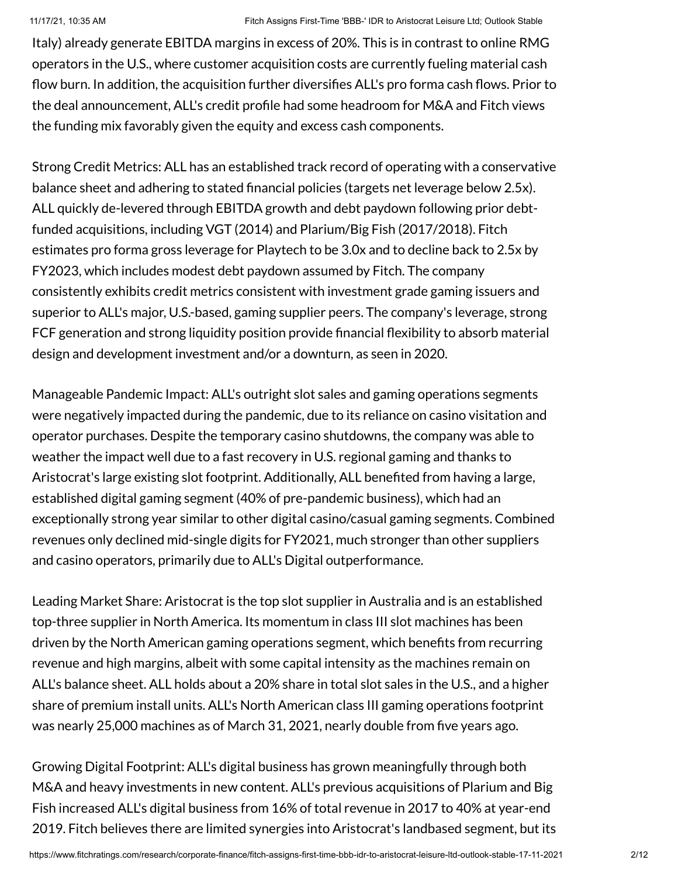Italy) already generate EBITDA margins in excess of 20%. This is in contrast to online RMG operators in the U.S., where customer acquisition costs are currently fueling material cash flow burn. In addition, the acquisition further diversifies ALL's pro forma cash flows. Prior to the deal announcement, ALL's credit profile had some headroom for M&A and Fitch views the funding mix favorably given the equity and excess cash components.

Strong Credit Metrics: ALL has an established track record of operating with a conservative balance sheet and adhering to stated financial policies (targets net leverage below 2.5x). ALL quickly de-levered through EBITDA growth and debt paydown following prior debtfunded acquisitions, including VGT (2014) and Plarium/Big Fish (2017/2018). Fitch estimates pro forma gross leverage for Playtech to be 3.0x and to decline back to 2.5x by FY2023, which includes modest debt paydown assumed by Fitch. The company consistently exhibits credit metrics consistent with investment grade gaming issuers and superior to ALL's major, U.S.-based, gaming supplier peers. The company's leverage, strong FCF generation and strong liquidity position provide financial flexibility to absorb material design and development investment and/or a downturn, as seen in 2020.

Manageable Pandemic Impact: ALL's outright slot sales and gaming operations segments were negatively impacted during the pandemic, due to its reliance on casino visitation and operator purchases. Despite the temporary casino shutdowns, the company was able to weather the impact well due to a fast recovery in U.S. regional gaming and thanks to Aristocrat's large existing slot footprint. Additionally, ALL benefited from having a large, established digital gaming segment (40% of pre-pandemic business), which had an exceptionally strong year similar to other digital casino/casual gaming segments. Combined revenues only declined mid-single digits for FY2021, much stronger than other suppliers and casino operators, primarily due to ALL's Digital outperformance.

Leading Market Share: Aristocrat is the top slot supplier in Australia and is an established top-three supplier in North America. Its momentum in class III slot machines has been driven by the North American gaming operations segment, which benefits from recurring revenue and high margins, albeit with some capital intensity as the machines remain on ALL's balance sheet. ALL holds about a 20% share in total slot sales in the U.S., and a higher share of premium install units. ALL's North American class III gaming operations footprint was nearly 25,000 machines as of March 31, 2021, nearly double from five years ago.

Growing Digital Footprint: ALL's digital business has grown meaningfully through both M&A and heavy investments in new content. ALL's previous acquisitions of Plarium and Big Fish increased ALL's digital business from 16% of total revenue in 2017 to 40% at year-end 2019. Fitch believes there are limited synergies into Aristocrat's landbased segment, but its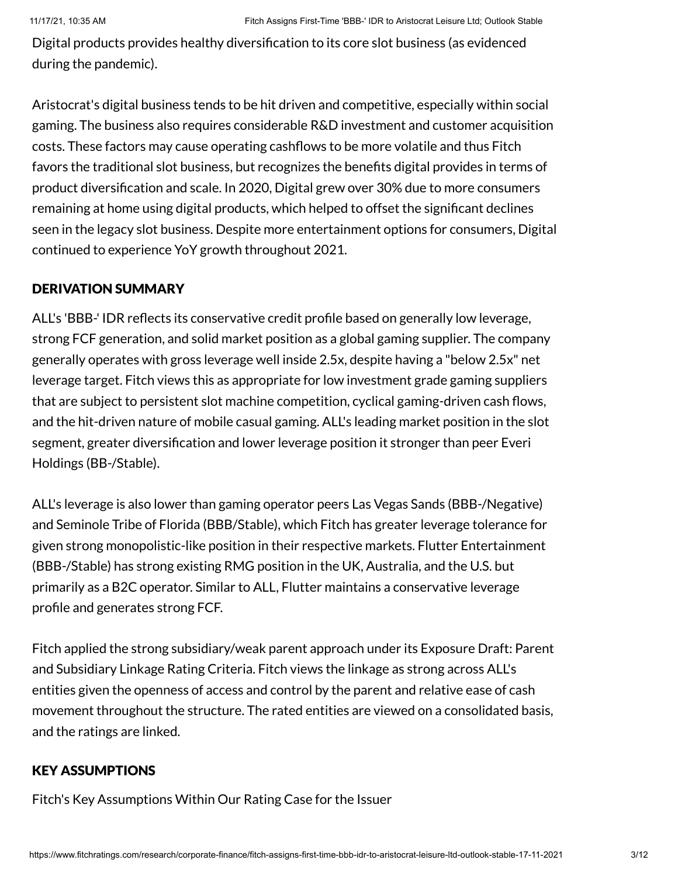Digital products provides healthy diversification to its core slot business (as evidenced during the pandemic).

Aristocrat's digital business tends to be hit driven and competitive, especially within social gaming. The business also requires considerable R&D investment and customer acquisition costs. These factors may cause operating cashflows to be more volatile and thus Fitch favors the traditional slot business, but recognizes the benefits digital provides in terms of product diversification and scale. In 2020, Digital grew over 30% due to more consumers remaining at home using digital products, which helped to offset the significant declines seen in the legacy slot business. Despite more entertainment options for consumers, Digital continued to experience YoY growth throughout 2021.

# DERIVATION SUMMARY

ALL's 'BBB-' IDR reflects its conservative credit profile based on generally low leverage, strong FCF generation, and solid market position as a global gaming supplier. The company generally operates with gross leverage well inside 2.5x, despite having a "below 2.5x" net leverage target. Fitch views this as appropriate for low investment grade gaming suppliers that are subject to persistent slot machine competition, cyclical gaming-driven cash flows, and the hit-driven nature of mobile casual gaming. ALL's leading market position in the slot segment, greater diversification and lower leverage position it stronger than peer Everi Holdings (BB-/Stable).

ALL's leverage is also lower than gaming operator peers Las Vegas Sands (BBB-/Negative) and Seminole Tribe of Florida (BBB/Stable), which Fitch has greater leverage tolerance for given strong monopolistic-like position in their respective markets. Flutter Entertainment (BBB-/Stable) has strong existing RMG position in the UK, Australia, and the U.S. but primarily as a B2C operator. Similar to ALL, Flutter maintains a conservative leverage profile and generates strong FCF.

Fitch applied the strong subsidiary/weak parent approach under its Exposure Draft: Parent and Subsidiary Linkage Rating Criteria. Fitch views the linkage as strong across ALL's entities given the openness of access and control by the parent and relative ease of cash movement throughout the structure. The rated entities are viewed on a consolidated basis, and the ratings are linked.

# KEY ASSUMPTIONS

Fitch's Key Assumptions Within Our Rating Case for the Issuer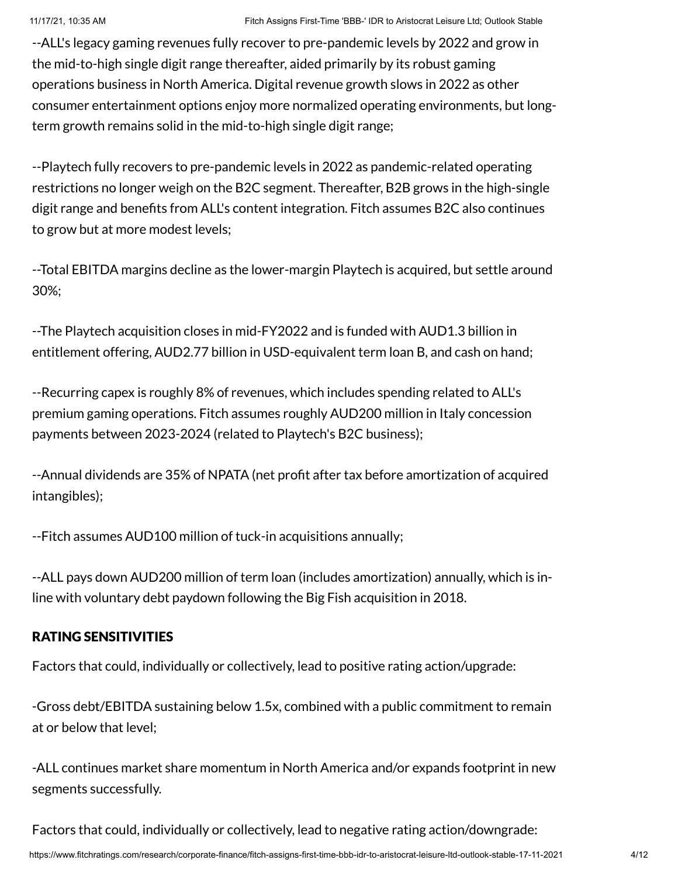--ALL's legacy gaming revenues fully recover to pre-pandemic levels by 2022 and grow in the mid-to-high single digit range thereafter, aided primarily by its robust gaming operations business in North America. Digital revenue growth slows in 2022 as other consumer entertainment options enjoy more normalized operating environments, but longterm growth remains solid in the mid-to-high single digit range;

--Playtech fully recovers to pre-pandemic levels in 2022 as pandemic-related operating restrictions no longer weigh on the B2C segment. Thereafter, B2B grows in the high-single digit range and benefits from ALL's content integration. Fitch assumes B2C also continues to grow but at more modest levels;

--Total EBITDA margins decline as the lower-margin Playtech is acquired, but settle around 30%;

--The Playtech acquisition closes in mid-FY2022 and is funded with AUD1.3 billion in entitlement offering, AUD2.77 billion in USD-equivalent term loan B, and cash on hand;

--Recurring capex is roughly 8% of revenues, which includes spending related to ALL's premium gaming operations. Fitch assumes roughly AUD200 million in Italy concession payments between 2023-2024 (related to Playtech's B2C business);

--Annual dividends are 35% of NPATA (net profit after tax before amortization of acquired intangibles);

--Fitch assumes AUD100 million of tuck-in acquisitions annually;

--ALL pays down AUD200 million of term loan (includes amortization) annually, which is inline with voluntary debt paydown following the Big Fish acquisition in 2018.

# RATING SENSITIVITIES

Factors that could, individually or collectively, lead to positive rating action/upgrade:

-Gross debt/EBITDA sustaining below 1.5x, combined with a public commitment to remain at or below that level;

-ALL continues market share momentum in North America and/or expands footprint in new segments successfully.

Factors that could, individually or collectively, lead to negative rating action/downgrade: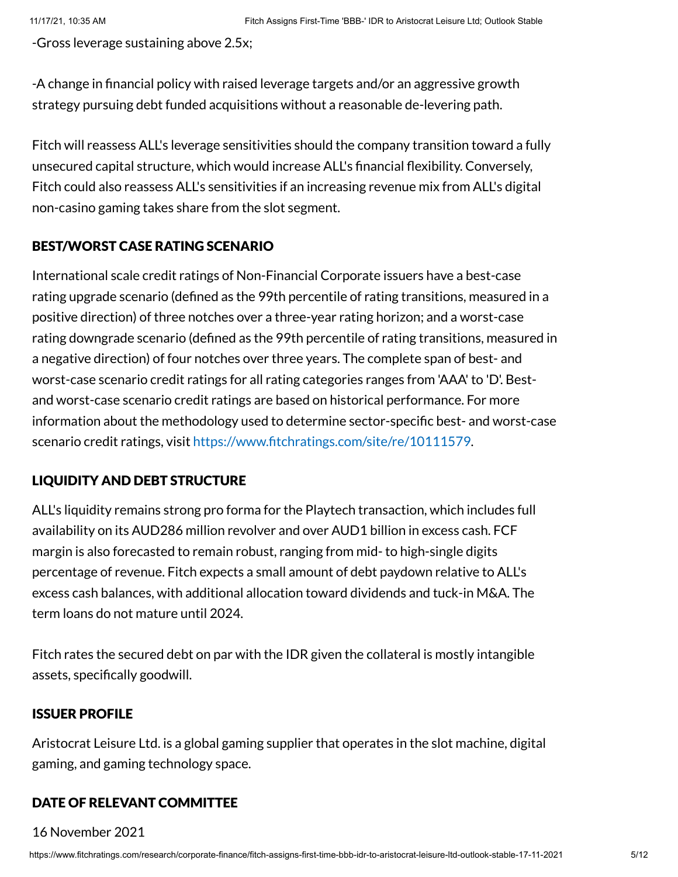-Gross leverage sustaining above 2.5x;

-A change in financial policy with raised leverage targets and/or an aggressive growth strategy pursuing debt funded acquisitions without a reasonable de-levering path.

Fitch will reassess ALL's leverage sensitivities should the company transition toward a fully unsecured capital structure, which would increase ALL's financial flexibility. Conversely, Fitch could also reassess ALL's sensitivities if an increasing revenue mix from ALL's digital non-casino gaming takes share from the slot segment.

#### BEST/WORST CASE RATING SCENARIO

International scale credit ratings of Non-Financial Corporate issuers have a best-case rating upgrade scenario (defined as the 99th percentile of rating transitions, measured in a positive direction) of three notches over a three-year rating horizon; and a worst-case rating downgrade scenario (defined as the 99th percentile of rating transitions, measured in a negative direction) of four notches over three years. The complete span of best- and worst-case scenario credit ratings for all rating categories ranges from 'AAA' to 'D'. Bestand worst-case scenario credit ratings are based on historical performance. For more information about the methodology used to determine sector-specific best- and worst-case scenario credit ratings, visit [https://www.fitchratings.com/site/re/10111579.](https://www.fitchratings.com/site/re/10111579)

#### LIQUIDITY AND DEBT STRUCTURE

ALL's liquidity remains strong pro forma for the Playtech transaction, which includes full availability on its AUD286 million revolver and over AUD1 billion in excess cash. FCF margin is also forecasted to remain robust, ranging from mid- to high-single digits percentage of revenue. Fitch expects a small amount of debt paydown relative to ALL's excess cash balances, with additional allocation toward dividends and tuck-in M&A. The term loans do not mature until 2024.

Fitch rates the secured debt on par with the IDR given the collateral is mostly intangible assets, specifically goodwill.

#### ISSUER PROFILE

Aristocrat Leisure Ltd. is a global gaming supplier that operates in the slot machine, digital gaming, and gaming technology space.

#### DATE OF RELEVANT COMMITTEE

#### 16 November 2021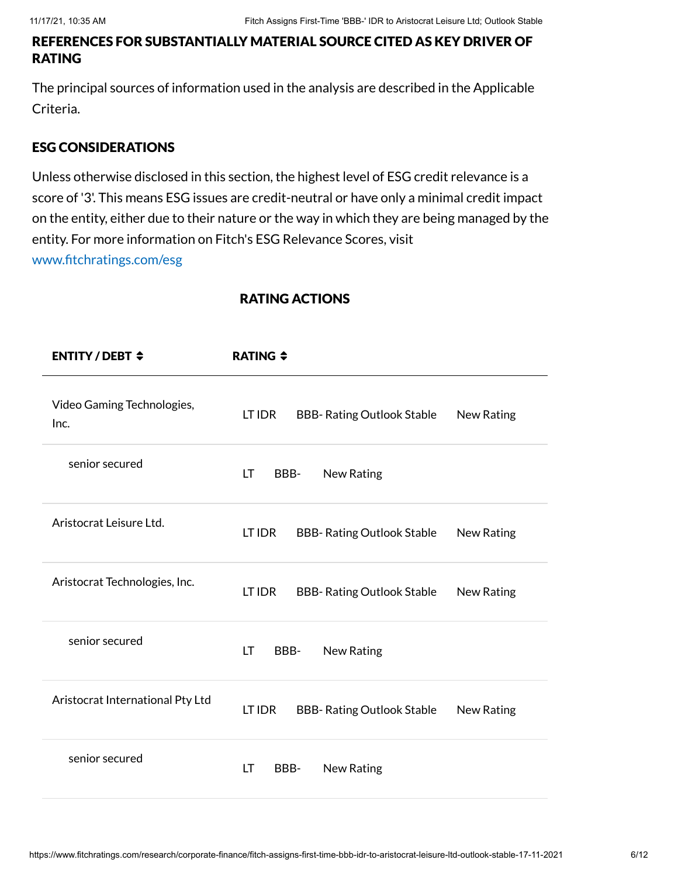### REFERENCES FOR SUBSTANTIALLY MATERIAL SOURCE CITED AS KEY DRIVER OF RATING

The principal sources of information used in the analysis are described in the Applicable Criteria.

#### ESG CONSIDERATIONS

Unless otherwise disclosed in this section, the highest level of ESG credit relevance is a score of '3'. This means ESG issues are credit-neutral or have only a minimal credit impact on the entity, either due to their nature or the way in which they are being managed by the entity. For more information on Fitch's ESG Relevance Scores, visit [www.fitchratings.com/esg](http://www.fitchratings.com/esg)

| <b>ENTITY/DEBT ≑</b>               | <b>RATING <math>\div</math></b>                           |
|------------------------------------|-----------------------------------------------------------|
| Video Gaming Technologies,<br>Inc. | LT IDR<br><b>BBB- Rating Outlook Stable</b><br>New Rating |
| senior secured                     | LT<br>BBB-<br>New Rating                                  |
| Aristocrat Leisure Ltd.            | LT IDR<br><b>BBB- Rating Outlook Stable</b><br>New Rating |
| Aristocrat Technologies, Inc.      | LT IDR<br><b>BBB- Rating Outlook Stable</b><br>New Rating |
| senior secured                     | New Rating<br>LT<br>BBB-                                  |
| Aristocrat International Pty Ltd   | LT IDR<br><b>BBB- Rating Outlook Stable</b><br>New Rating |
| senior secured                     | LT<br>BBB-<br>New Rating                                  |

#### RATING ACTIONS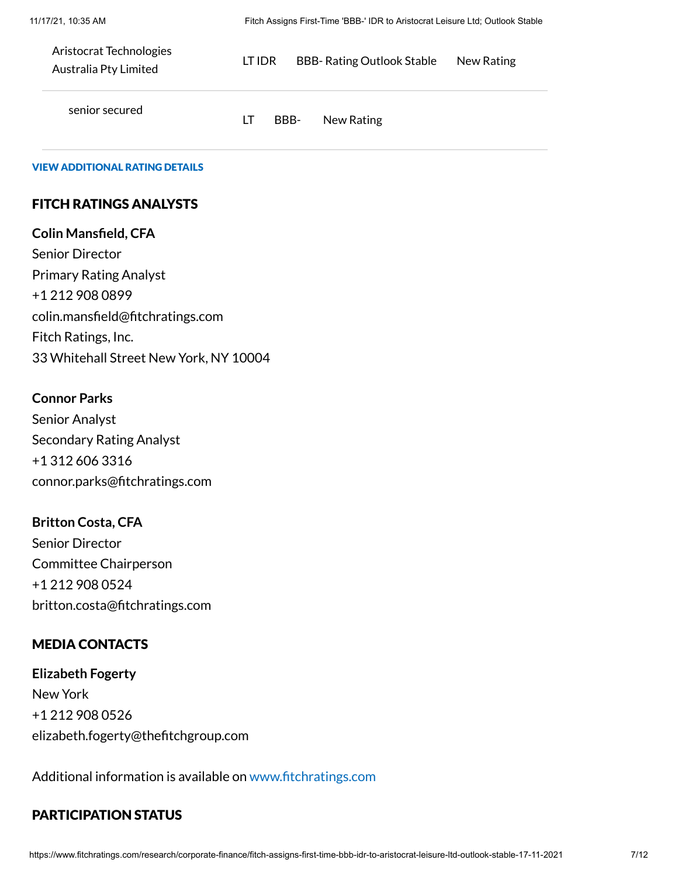#### VIEW ADDITIONAL RATING DETAILS

#### FITCH RATINGS ANALYSTS

**Colin Mansfield, CFA** Senior Director Primary Rating Analyst +1 212 908 0899 colin.mansfield@fitchratings.com Fitch Ratings, Inc. 33 Whitehall Street New York, NY 10004

#### **Connor Parks**

Senior Analyst Secondary Rating Analyst +1 312 606 3316 connor.parks@fitchratings.com

#### **Britton Costa, CFA**

Senior Director Committee Chairperson +1 212 908 0524 britton.costa@fitchratings.com

#### MEDIA CONTACTS

**Elizabeth Fogerty** New York +1 212 908 0526 elizabeth.fogerty@thefitchgroup.com

Additional information is available on [www.fitchratings.com](http://www.fitchratings.com/)

# PARTICIPATION STATUS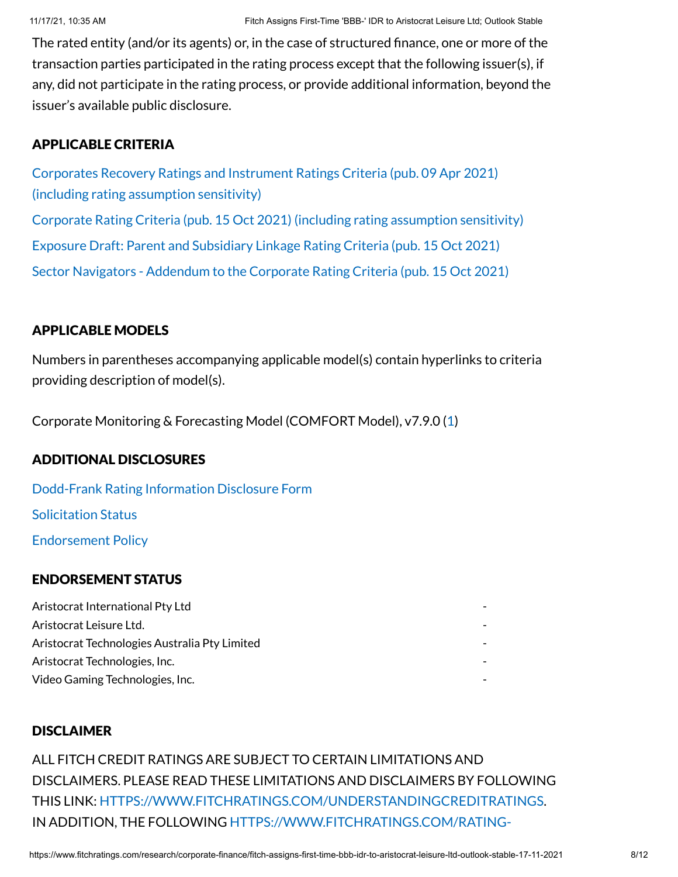The rated entity (and/or its agents) or, in the case of structured finance, one or more of the transaction parties participated in the rating process except that the following issuer(s), if any, did not participate in the rating process, or provide additional information, beyond the issuer's available public disclosure.

#### APPLICABLE CRITERIA

Corporates Recovery Ratings and Instrument [Ratings Criteria](https://www.fitchratings.com/research/corporate-finance/corporates-recovery-ratings-instrument-ratings-criteria-09-04-2021) (pub. 09 Apr 2021) (including rating assumption sensitivity) Corporate Rating Criteria (pub. 15 Oct 2021) (including rating [assumption](https://www.fitchratings.com/research/corporate-finance/corporate-rating-criteria-15-10-2021) sensitivity) Exposure Draft: Parent [and Subsidiary](https://www.fitchratings.com/research/corporate-finance/exposure-draft-parent-subsidiary-linkage-rating-criteria-15-10-2021) Linkage Rating Criteria (pub. 15 Oct 2021) Sector Navigators - [Addendum](https://www.fitchratings.com/research/corporate-finance/sector-navigators-addendum-to-corporate-rating-criteria-15-10-2021) to the Corporate Rating Criteria (pub. 15 Oct 2021)

#### APPLICABLE MODELS

Numbers in parentheses accompanying applicable model(s) contain hyperlinks to criteria providing description of model(s).

Corporate Monitoring & Forecasting Model (COMFORT Model), v7.9.0 ([1\)](https://www.fitchratings.com/research/corporate-finance/corporate-rating-criteria-15-10-2021)

#### ADDITIONAL DISCLOSURES

[Dodd-Frank](https://www.fitchratings.com/research/corporate-finance/fitch-assigns-first-time-bbb-idr-to-aristocrat-leisure-ltd-outlook-stable-17-11-2021/dodd-frank-disclosure) Rating Information Disclosure Form Solicitation Status [Endorsement](#page-10-0) Policy

#### ENDORSEMENT STATUS

| Aristocrat International Pty Ltd              |  |
|-----------------------------------------------|--|
| Aristocrat Leisure Ltd.                       |  |
| Aristocrat Technologies Australia Pty Limited |  |
| Aristocrat Technologies, Inc.                 |  |
| Video Gaming Technologies, Inc.               |  |
|                                               |  |

#### **DISCLAIMER**

ALL FITCH CREDIT RATINGS ARE SUBJECT TO CERTAIN LIMITATIONS AND DISCLAIMERS. PLEASE READ THESE LIMITATIONS AND DISCLAIMERS BY FOLLOWING THIS LINK: [HTTPS://WWW.FITCHRATINGS.COM/UNDERSTANDINGCREDITRATINGS](https://www.fitchratings.com/UNDERSTANDINGCREDITRATINGS). IN ADDITION, THE FOLLOWING [HTTPS://WWW.FITCHRATINGS.COM/RATING-](https://www.fitchratings.com/rating-definitions-document)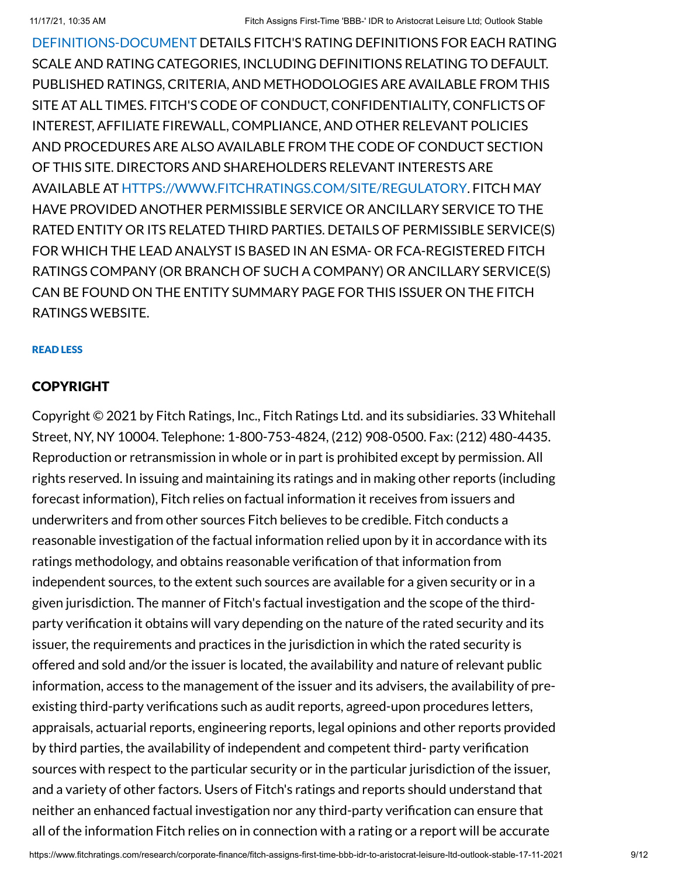[DEFINITIONS-DOCUMENT](https://www.fitchratings.com/rating-definitions-document) DETAILS FITCH'S RATING DEFINITIONS FOR EACH RATING SCALE AND RATING CATEGORIES, INCLUDING DEFINITIONS RELATING TO DEFAULT. PUBLISHED RATINGS, CRITERIA, AND METHODOLOGIES ARE AVAILABLE FROM THIS SITE AT ALL TIMES. FITCH'S CODE OF CONDUCT, CONFIDENTIALITY, CONFLICTS OF INTEREST, AFFILIATE FIREWALL, COMPLIANCE, AND OTHER RELEVANT POLICIES AND PROCEDURES ARE ALSO AVAILABLE FROM THE CODE OF CONDUCT SECTION OF THIS SITE. DIRECTORS AND SHAREHOLDERS RELEVANT INTERESTS ARE AVAILABLE AT [HTTPS://WWW.FITCHRATINGS.COM/SITE/REGULATORY](https://www.fitchratings.com/site/regulatory). FITCH MAY HAVE PROVIDED ANOTHER PERMISSIBLE SERVICE OR ANCILLARY SERVICE TO THE RATED ENTITY OR ITS RELATED THIRD PARTIES. DETAILS OF PERMISSIBLE SERVICE(S) FOR WHICH THE LEAD ANALYST IS BASED IN AN ESMA- OR FCA-REGISTERED FITCH RATINGS COMPANY (OR BRANCH OF SUCH A COMPANY) OR ANCILLARY SERVICE(S) CAN BE FOUND ON THE ENTITY SUMMARY PAGE FOR THIS ISSUER ON THE FITCH RATINGS WEBSITE.

#### READ LESS

#### COPYRIGHT

Copyright © 2021 by Fitch Ratings, Inc., Fitch Ratings Ltd. and its subsidiaries. 33 Whitehall Street, NY, NY 10004. Telephone: 1-800-753-4824, (212) 908-0500. Fax: (212) 480-4435. Reproduction or retransmission in whole or in part is prohibited except by permission. All rights reserved. In issuing and maintaining its ratings and in making other reports (including forecast information), Fitch relies on factual information it receives from issuers and underwriters and from other sources Fitch believes to be credible. Fitch conducts a reasonable investigation of the factual information relied upon by it in accordance with its ratings methodology, and obtains reasonable verification of that information from independent sources, to the extent such sources are available for a given security or in a given jurisdiction. The manner of Fitch's factual investigation and the scope of the thirdparty verification it obtains will vary depending on the nature of the rated security and its issuer, the requirements and practices in the jurisdiction in which the rated security is offered and sold and/or the issuer is located, the availability and nature of relevant public information, access to the management of the issuer and its advisers, the availability of preexisting third-party verifications such as audit reports, agreed-upon procedures letters, appraisals, actuarial reports, engineering reports, legal opinions and other reports provided by third parties, the availability of independent and competent third- party verification sources with respect to the particular security or in the particular jurisdiction of the issuer, and a variety of other factors. Users of Fitch's ratings and reports should understand that neither an enhanced factual investigation nor any third-party verification can ensure that all of the information Fitch relies on in connection with a rating or a report will be accurate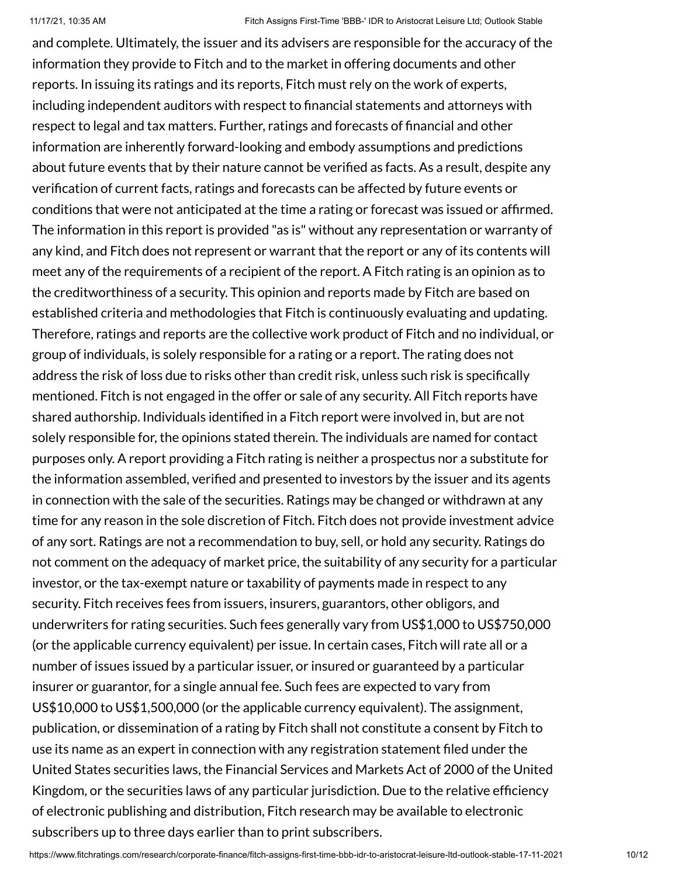https://www.fitchratings.com/research/corporate-finance/fitch-assigns-first-time-bbb-idr-to-aristocrat-leisure-ltd-outlook-stable-17-11-2021 10/12 and complete. Ultimately, the issuer and its advisers are responsible for the accuracy of the information they provide to Fitch and to the market in offering documents and other reports. In issuing its ratings and its reports, Fitch must rely on the work of experts, including independent auditors with respect to financial statements and attorneys with respect to legal and tax matters. Further, ratings and forecasts of financial and other information are inherently forward-looking and embody assumptions and predictions about future events that by their nature cannot be verified as facts. As a result, despite any verification of current facts, ratings and forecasts can be affected by future events or conditions that were not anticipated at the time a rating or forecast was issued or affirmed. The information in this report is provided "as is" without any representation or warranty of any kind, and Fitch does not represent or warrant that the report or any of its contents will meet any of the requirements of a recipient of the report. A Fitch rating is an opinion as to the creditworthiness of a security. This opinion and reports made by Fitch are based on established criteria and methodologies that Fitch is continuously evaluating and updating. Therefore, ratings and reports are the collective work product of Fitch and no individual, or group of individuals, is solely responsible for a rating or a report. The rating does not address the risk of loss due to risks other than credit risk, unless such risk is specifically mentioned. Fitch is not engaged in the offer or sale of any security. All Fitch reports have shared authorship. Individuals identified in a Fitch report were involved in, but are not solely responsible for, the opinions stated therein. The individuals are named for contact purposes only. A report providing a Fitch rating is neither a prospectus nor a substitute for the information assembled, verified and presented to investors by the issuer and its agents in connection with the sale of the securities. Ratings may be changed or withdrawn at any time for any reason in the sole discretion of Fitch. Fitch does not provide investment advice of any sort. Ratings are not a recommendation to buy, sell, or hold any security. Ratings do not comment on the adequacy of market price, the suitability of any security for a particular investor, or the tax-exempt nature or taxability of payments made in respect to any security. Fitch receives fees from issuers, insurers, guarantors, other obligors, and underwriters for rating securities. Such fees generally vary from US\$1,000 to US\$750,000 (or the applicable currency equivalent) per issue. In certain cases, Fitch will rate all or a number of issues issued by a particular issuer, or insured or guaranteed by a particular insurer or guarantor, for a single annual fee. Such fees are expected to vary from US\$10,000 to US\$1,500,000 (or the applicable currency equivalent). The assignment, publication, or dissemination of a rating by Fitch shall not constitute a consent by Fitch to use its name as an expert in connection with any registration statement filed under the United States securities laws, the Financial Services and Markets Act of 2000 of the United Kingdom, or the securities laws of any particular jurisdiction. Due to the relative efficiency of electronic publishing and distribution, Fitch research may be available to electronic subscribers up to three days earlier than to print subscribers.